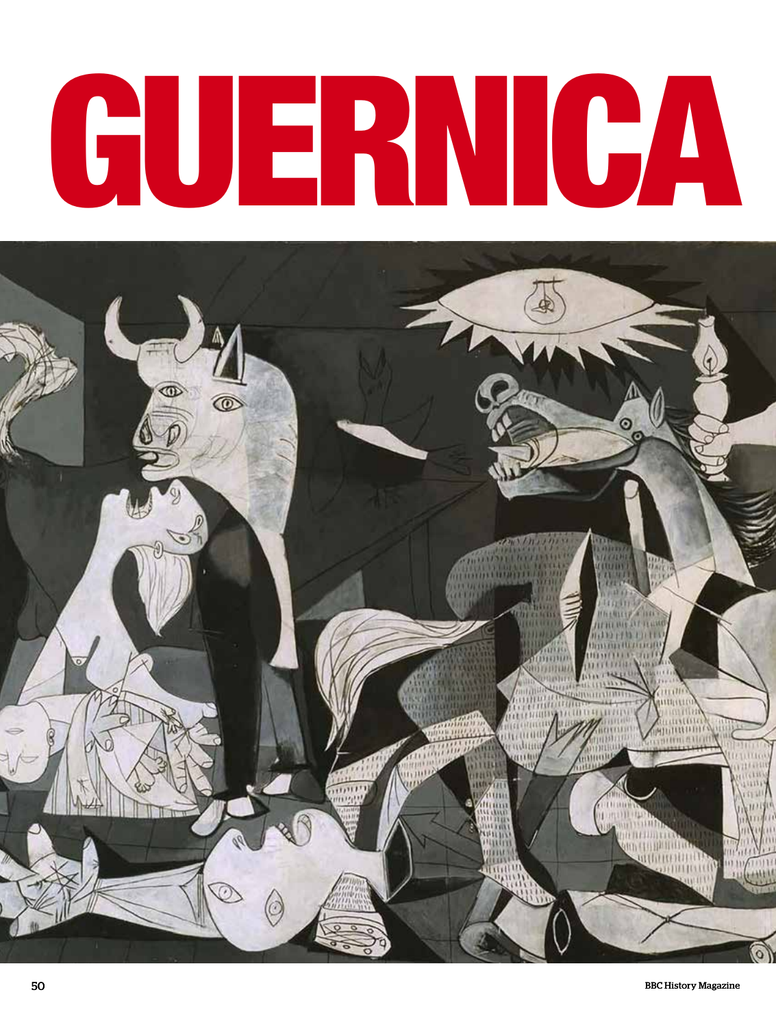# GUERNICA

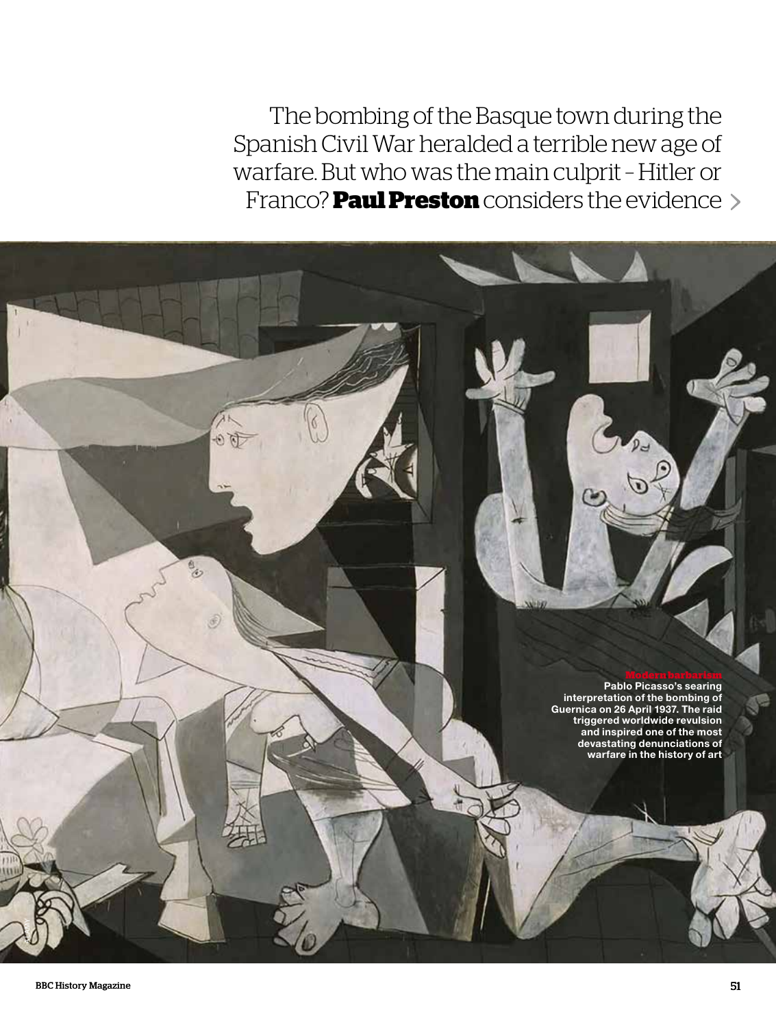The bombing of the Basque town during the Spanish Civil War heralded a terrible new age of warfare. But who was the main culprit – Hitler or Franco? **Paul Preston** considers the evidence

> **Modern barbarism Pablo Picasso's searing interpretation of the bombing of Guernica on 26 April 1937. The raid triggered worldwide revulsion**

> > **and inspired one of the most devastating denunciations of warfare in the history of art**

Á  $\mathbb{Z}$ 

ALAMY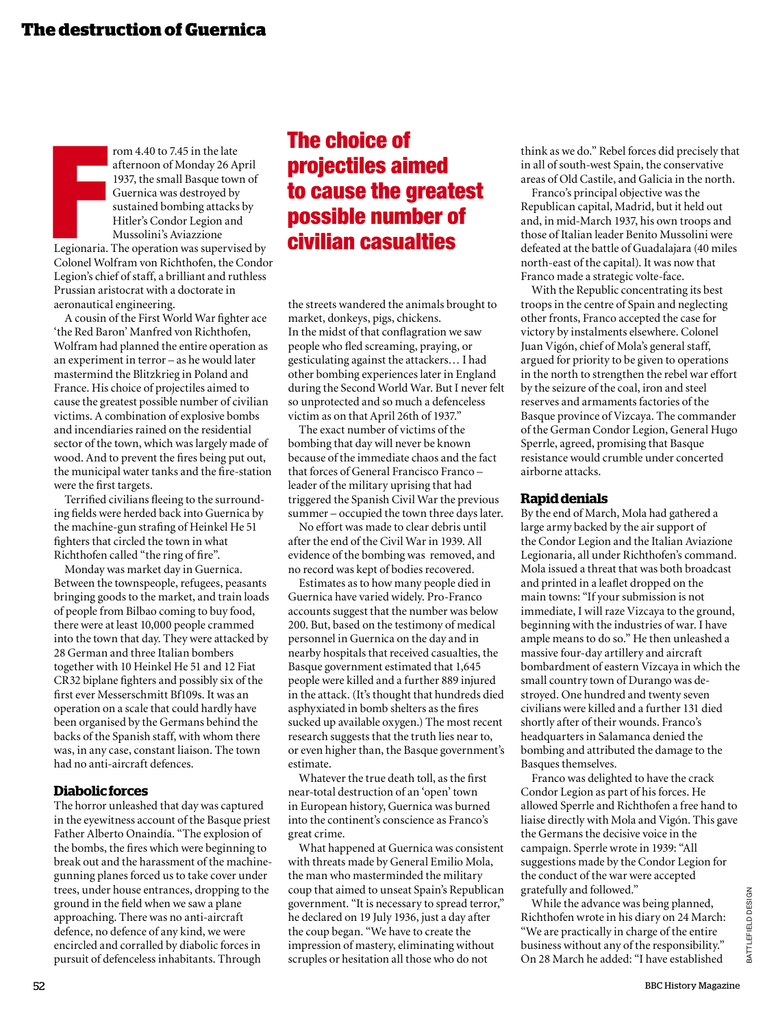**Francis**<br>Elegionaria.<br>Colonel Wo rom 4.40 to 7.45 in the late afternoon of Monday 26 April 1937, the small Basque town of Guernica was destroyed by sustained bombing attacks by Hitler's Condor Legion and Mussolini's Aviazzione Legionaria. The operation was supervised by Colonel Wolfram von Richthofen, the Condor Legion's chief of staff, a brilliant and ruthless Prussian aristocrat with a doctorate in aeronautical engineering.

A cousin of the First World War fighter ace 'the Red Baron' Manfred von Richthofen, Wolfram had planned the entire operation as an experiment in terror – as he would later mastermind the Blitzkrieg in Poland and France. His choice of projectiles aimed to cause the greatest possible number of civilian victims. A combination of explosive bombs and incendiaries rained on the residential sector of the town, which was largely made of wood. And to prevent the fires being put out, the municipal water tanks and the fire-station were the first targets.

Terrified civilians fleeing to the surrounding fields were herded back into Guernica by the machine-gun strafing of Heinkel He 51 fighters that circled the town in what Richthofen called "the ring of fire".

Monday was market day in Guernica. Between the townspeople, refugees, peasants bringing goods to the market, and train loads of people from Bilbao coming to buy food, there were at least 10,000 people crammed into the town that day. They were attacked by 28 German and three Italian bombers together with 10 Heinkel He 51 and 12 Fiat CR32 biplane fighters and possibly six of the first ever Messerschmitt Bf109s. It was an operation on a scale that could hardly have been organised by the Germans behind the backs of the Spanish staff, with whom there was, in any case, constant liaison. The town had no anti-aircraft defences.

### **Diabolic forces**

The horror unleashed that day was captured in the eyewitness account of the Basque priest Father Alberto Onaindía. "The explosion of the bombs, the fires which were beginning to break out and the harassment of the machinegunning planes forced us to take cover under trees, under house entrances, dropping to the ground in the field when we saw a plane approaching. There was no anti-aircraft defence, no defence of any kind, we were encircled and corralled by diabolic forces in pursuit of defenceless inhabitants. Through

# The choice of projectiles aimed to cause the greatest possible number of civilian casualties

the streets wandered the animals brought to market, donkeys, pigs, chickens. In the midst of that conflagration we saw people who fled screaming, praying, or gesticulating against the attackers… I had other bombing experiences later in England during the Second World War. But I never felt so unprotected and so much a defenceless victim as on that April 26th of 1937."

The exact number of victims of the bombing that day will never be known because of the immediate chaos and the fact that forces of General Francisco Franco – leader of the military uprising that had triggered the Spanish Civil War the previous summer – occupied the town three days later.

No effort was made to clear debris until after the end of the Civil War in 1939. All evidence of the bombing was removed, and no record was kept of bodies recovered.

Estimates as to how many people died in Guernica have varied widely. Pro-Franco accounts suggest that the number was below 200. But, based on the testimony of medical personnel in Guernica on the day and in nearby hospitals that received casualties, the Basque government estimated that 1,645 people were killed and a further 889 injured in the attack. (It's thought that hundreds died asphyxiated in bomb shelters as the fires sucked up available oxygen.) The most recent research suggests that the truth lies near to, or even higher than, the Basque government's estimate.

Whatever the true death toll, as the first near-total destruction of an 'open' town in European history, Guernica was burned into the continent's conscience as Franco's great crime.

What happened at Guernica was consistent with threats made by General Emilio Mola, the man who masterminded the military coup that aimed to unseat Spain's Republican government. "It is necessary to spread terror," he declared on 19 July 1936, just a day after the coup began. "We have to create the impression of mastery, eliminating without scruples or hesitation all those who do not

think as we do." Rebel forces did precisely that in all of south-west Spain, the conservative areas of Old Castile, and Galicia in the north.

Franco's principal objective was the Republican capital, Madrid, but it held out and, in mid-March 1937, his own troops and those of Italian leader Benito Mussolini were defeated at the battle of Guadalajara (40 miles north-east of the capital). It was now that Franco made a strategic volte-face.

With the Republic concentrating its best troops in the centre of Spain and neglecting other fronts, Franco accepted the case for victory by instalments elsewhere. Colonel Juan Vigón, chief of Mola's general staff, argued for priority to be given to operations in the north to strengthen the rebel war effort by the seizure of the coal, iron and steel reserves and armaments factories of the Basque province of Vizcaya. The commander of the German Condor Legion, General Hugo Sperrle, agreed, promising that Basque resistance would crumble under concerted airborne attacks.

### **Rapid denials**

By the end of March, Mola had gathered a large army backed by the air support of the Condor Legion and the Italian Aviazione Legionaria, all under Richthofen's command. Mola issued a threat that was both broadcast and printed in a leaflet dropped on the main towns: "If your submission is not immediate, I will raze Vizcaya to the ground, beginning with the industries of war. I have ample means to do so." He then unleashed a massive four-day artillery and aircraft bombardment of eastern Vizcaya in which the small country town of Durango was destroyed. One hundred and twenty seven civilians were killed and a further 131 died shortly after of their wounds. Franco's headquarters in Salamanca denied the bombing and attributed the damage to the Basques themselves.

Franco was delighted to have the crack Condor Legion as part of his forces. He allowed Sperrle and Richthofen a free hand to liaise directly with Mola and Vigón. This gave the Germans the decisive voice in the campaign. Sperrle wrote in 1939: "All suggestions made by the Condor Legion for the conduct of the war were accepted gratefully and followed."

While the advance was being planned, Richthofen wrote in his diary on 24 March: "We are practically in charge of the entire business without any of the responsibility." On 28 March he added: "I have established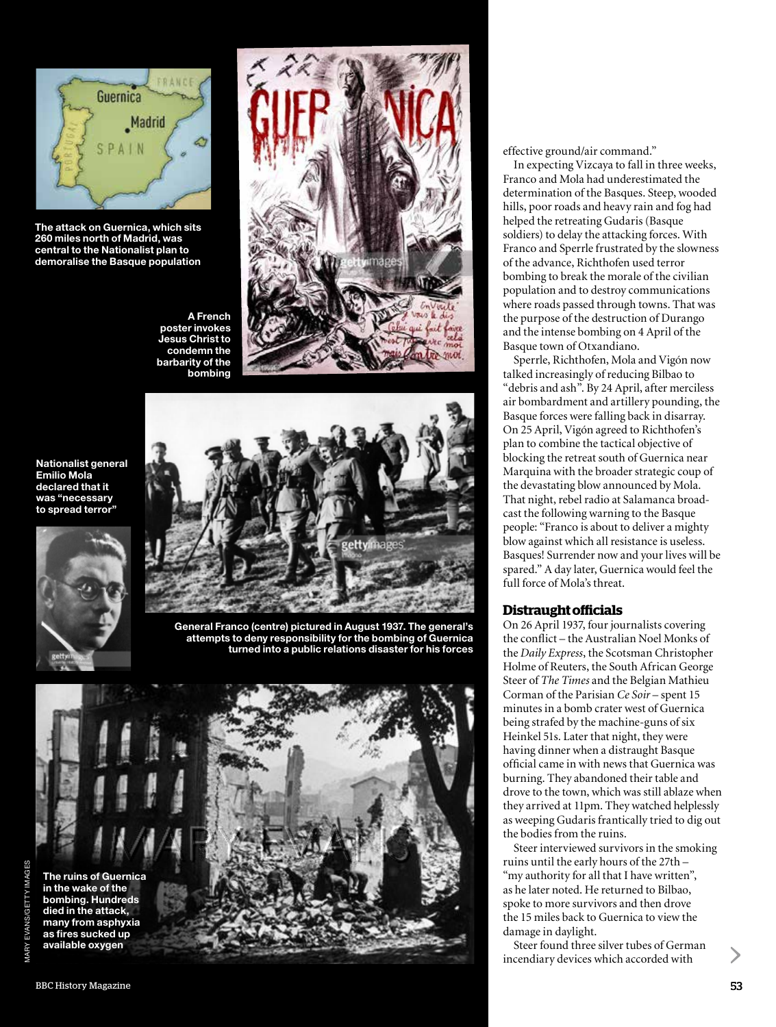

**The attack on Guernica, which sits 260 miles north of Madrid, was central to the Nationalist plan to demoralise the Basque population** 



**Nationalist general Emilio Mola declared that it was "necessary** 





**General Franco (centre) pictured in August 1937. The general's attempts to deny responsibility for the bombing of Guernica turned into a public relations disaster for his forces**





effective ground/air command."

In expecting Vizcaya to fall in three weeks, Franco and Mola had underestimated the determination of the Basques. Steep, wooded hills, poor roads and heavy rain and fog had helped the retreating Gudaris (Basque soldiers) to delay the attacking forces. With Franco and Sperrle frustrated by the slowness of the advance, Richthofen used terror bombing to break the morale of the civilian population and to destroy communications where roads passed through towns. That was the purpose of the destruction of Durango and the intense bombing on 4 April of the Basque town of Otxandiano.

Sperrle, Richthofen, Mola and Vigón now talked increasingly of reducing Bilbao to "debris and ash". By 24 April, after merciless air bombardment and artillery pounding, the Basque forces were falling back in disarray. On 25 April, Vigón agreed to Richthofen's plan to combine the tactical objective of blocking the retreat south of Guernica near Marquina with the broader strategic coup of the devastating blow announced by Mola. That night, rebel radio at Salamanca broadcast the following warning to the Basque people: "Franco is about to deliver a mighty blow against which all resistance is useless. Basques! Surrender now and your lives will be spared." A day later, Guernica would feel the full force of Mola's threat.

### **Distraught officials**

On 26 April 1937, four journalists covering the conflict – the Australian Noel Monks of the *Daily Express*, the Scotsman Christopher Holme of Reuters, the South African George Steer of *The Times* and the Belgian Mathieu Corman of the Parisian *Ce Soir* – spent 15 minutes in a bomb crater west of Guernica being strafed by the machine-guns of six Heinkel 51s. Later that night, they were having dinner when a distraught Basque official came in with news that Guernica was burning. They abandoned their table and drove to the town, which was still ablaze when they arrived at 11pm. They watched helplessly as weeping Gudaris frantically tried to dig out the bodies from the ruins.

Steer interviewed survivors in the smoking ruins until the early hours of the 27th – "my authority for all that I have written", as he later noted. He returned to Bilbao, spoke to more survivors and then drove the 15 miles back to Guernica to view the damage in daylight.

Steer found three silver tubes of German incendiary devices which accorded with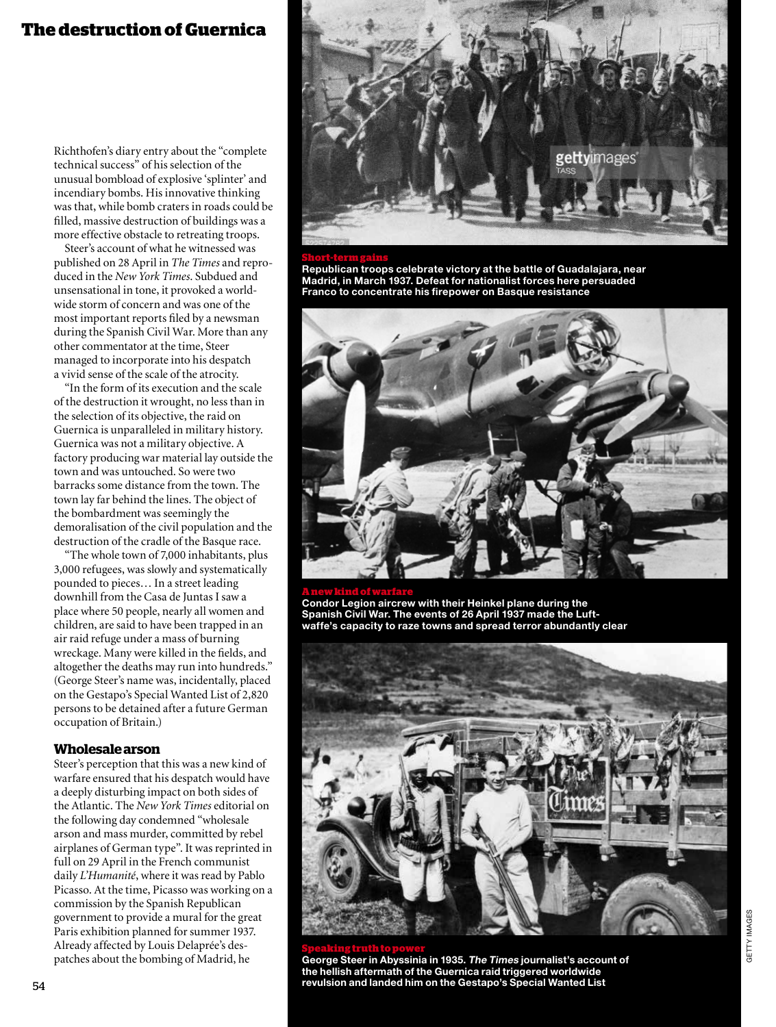## **The destruction of Guernica**

Richthofen's diary entry about the "complete technical success" of his selection of the unusual bombload of explosive 'splinter' and incendiary bombs. His innovative thinking was that, while bomb craters in roads could be filled, massive destruction of buildings was a more effective obstacle to retreating troops.

Steer's account of what he witnessed was published on 28 April in *The Times* and reproduced in the *New York Times*. Subdued and unsensational in tone, it provoked a worldwide storm of concern and was one of the most important reports filed by a newsman during the Spanish Civil War. More than any other commentator at the time, Steer managed to incorporate into his despatch a vivid sense of the scale of the atrocity.

"In the form of its execution and the scale of the destruction it wrought, no less than in the selection of its objective, the raid on Guernica is unparalleled in military history. Guernica was not a military objective. A factory producing war material lay outside the town and was untouched. So were two barracks some distance from the town. The town lay far behind the lines. The object of the bombardment was seemingly the demoralisation of the civil population and the destruction of the cradle of the Basque race.

"The whole town of 7,000 inhabitants, plus 3,000 refugees, was slowly and systematically pounded to pieces… In a street leading downhill from the Casa de Juntas I saw a place where 50 people, nearly all women and children, are said to have been trapped in an air raid refuge under a mass of burning wreckage. Many were killed in the fields, and altogether the deaths may run into hundreds." (George Steer's name was, incidentally, placed on the Gestapo's Special Wanted List of 2,820 persons to be detained after a future German occupation of Britain.)

### **Wholesale arson**

Steer's perception that this was a new kind of warfare ensured that his despatch would have a deeply disturbing impact on both sides of the Atlantic. The *New York Times* editorial on the following day condemned "wholesale arson and mass murder, committed by rebel airplanes of German type". It was reprinted in full on 29 April in the French communist daily *L'Humanité*, where it was read by Pablo Picasso. At the time, Picasso was working on a commission by the Spanish Republican government to provide a mural for the great Paris exhibition planned for summer 1937. Already affected by Louis Delaprée's despatches about the bombing of Madrid, he



**Republican troops celebrate victory at the battle of Guadalajara, near Madrid, in March 1937. Defeat for nationalist forces here persuaded Franco to concentrate his firepower on Basque resistance**



**A new kind of warfare Condor Legion aircrew with their Heinkel plane during the Spanish Civil War. The events of 26 April 1937 made the Luftwaffe's capacity to raze towns and spread terror abundantly clear**

**Speaking truth to power**